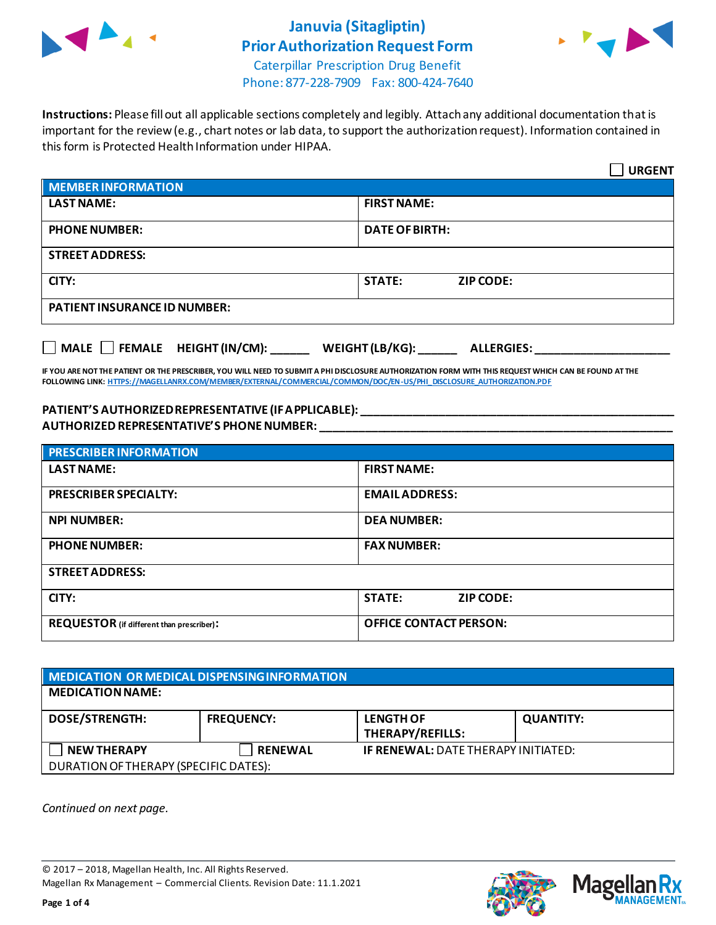

### **Januvia (Sitagliptin) Prior Authorization Request Form**



Caterpillar Prescription Drug Benefit Phone: 877-228-7909 Fax: 800-424-7640

**Instructions:** Please fill out all applicable sections completely and legibly. Attach any additional documentation that is important for the review (e.g., chart notes or lab data, to support the authorization request). Information contained in this form is Protected Health Information under HIPAA.

|                                                                                   | <b>URGENT</b>                     |  |  |
|-----------------------------------------------------------------------------------|-----------------------------------|--|--|
| <b>MEMBER INFORMATION</b>                                                         |                                   |  |  |
| <b>LAST NAME:</b>                                                                 | <b>FIRST NAME:</b>                |  |  |
| <b>PHONE NUMBER:</b>                                                              | <b>DATE OF BIRTH:</b>             |  |  |
| <b>STREET ADDRESS:</b>                                                            |                                   |  |  |
| CITY:                                                                             | <b>STATE:</b><br><b>ZIP CODE:</b> |  |  |
| <b>PATIENT INSURANCE ID NUMBER:</b>                                               |                                   |  |  |
| $\Box$ MALE $\Box$ FEMALE HEIGHT (IN/CM):<br>WEIGHT (LB/KG):<br><b>ALLERGIES:</b> |                                   |  |  |

**IF YOU ARE NOT THE PATIENT OR THE PRESCRIBER, YOU WILL NEED TO SUBMIT A PHI DISCLOSURE AUTHORIZATION FORM WITH THIS REQUEST WHICH CAN BE FOUND AT THE FOLLOWING LINK[: HTTPS://MAGELLANRX.COM/MEMBER/EXTERNAL/COMMERCIAL/COMMON/DOC/EN-US/PHI\\_DISCLOSURE\\_AUTHORIZATION.PDF](https://magellanrx.com/member/external/commercial/common/doc/en-us/PHI_Disclosure_Authorization.pdf)**

#### **PATIENT'S AUTHORIZED REPRESENTATIVE (IF APPLICABLE): \_\_\_\_\_\_\_\_\_\_\_\_\_\_\_\_\_\_\_\_\_\_\_\_\_\_\_\_\_\_\_\_\_\_\_\_\_\_\_\_\_\_\_\_\_\_\_\_\_ AUTHORIZED REPRESENTATIVE'S PHONE NUMBER: \_\_\_\_\_\_\_\_\_\_\_\_\_\_\_\_\_\_\_\_\_\_\_\_\_\_\_\_\_\_\_\_\_\_\_\_\_\_\_\_\_\_\_\_\_\_\_\_\_\_\_\_\_\_\_**

| <b>PRESCRIBER INFORMATION</b>             |                               |  |  |
|-------------------------------------------|-------------------------------|--|--|
| <b>LAST NAME:</b>                         | <b>FIRST NAME:</b>            |  |  |
| <b>PRESCRIBER SPECIALTY:</b>              | <b>EMAIL ADDRESS:</b>         |  |  |
| <b>NPI NUMBER:</b>                        | <b>DEA NUMBER:</b>            |  |  |
| <b>PHONE NUMBER:</b>                      | <b>FAX NUMBER:</b>            |  |  |
| <b>STREET ADDRESS:</b>                    |                               |  |  |
| CITY:                                     | <b>STATE:</b><br>ZIP CODE:    |  |  |
| REQUESTOR (if different than prescriber): | <b>OFFICE CONTACT PERSON:</b> |  |  |

| MEDICATION OR MEDICAL DISPENSING INFORMATION |                   |                                            |                  |  |
|----------------------------------------------|-------------------|--------------------------------------------|------------------|--|
| <b>MEDICATION NAME:</b>                      |                   |                                            |                  |  |
| <b>DOSE/STRENGTH:</b>                        | <b>FREQUENCY:</b> | <b>LENGTH OF</b><br>THERAPY/REFILLS:       | <b>QUANTITY:</b> |  |
| <b>NEW THERAPY</b>                           | <b>RENEWAL</b>    | <b>IF RENEWAL: DATE THERAPY INITIATED:</b> |                  |  |
| DURATION OF THERAPY (SPECIFIC DATES):        |                   |                                            |                  |  |

*Continued on next page.*

© 2017 – 2018, Magellan Health, Inc. All Rights Reserved. Magellan Rx Management – Commercial Clients. Revision Date: 11.1.2021



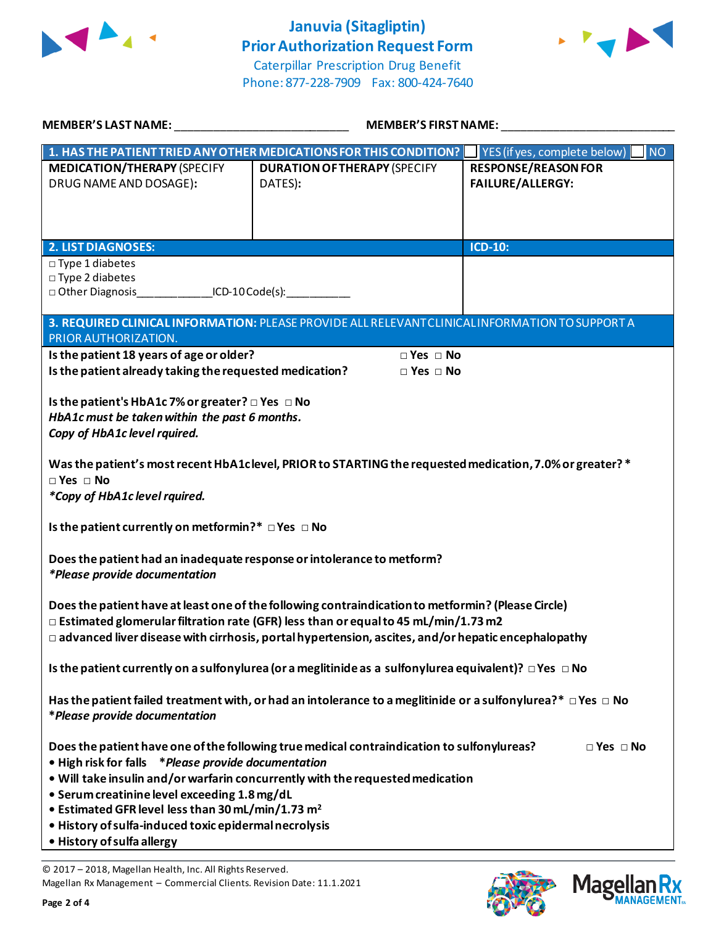

## **Januvia (Sitagliptin) Prior Authorization Request Form**



Caterpillar Prescription Drug Benefit Phone: 877-228-7909 Fax: 800-424-7640

| MEMBER'S LAST NAME:                                                                                                                                                                                                                                                                                                                                                                                                                                                  | <b>MEMBER'S FIRST NAME:</b>                                                                                                                       |                                                                    |  |  |
|----------------------------------------------------------------------------------------------------------------------------------------------------------------------------------------------------------------------------------------------------------------------------------------------------------------------------------------------------------------------------------------------------------------------------------------------------------------------|---------------------------------------------------------------------------------------------------------------------------------------------------|--------------------------------------------------------------------|--|--|
| <b>MEDICATION/THERAPY (SPECIFY</b><br>DRUG NAME AND DOSAGE):                                                                                                                                                                                                                                                                                                                                                                                                         | 1. HAS THE PATIENT TRIED ANY OTHER MEDICATIONS FOR THIS CONDITION? VES (if yes, complete below)<br><b>DURATION OF THERAPY (SPECIFY</b><br>DATES): | <b>NO</b><br><b>RESPONSE/REASON FOR</b><br><b>FAILURE/ALLERGY:</b> |  |  |
| <b>2. LIST DIAGNOSES:</b>                                                                                                                                                                                                                                                                                                                                                                                                                                            |                                                                                                                                                   | ICD-10:                                                            |  |  |
| $\square$ Type 1 diabetes<br>$\square$ Type 2 diabetes<br>□ Other Diagnosis ICD-10 Code(s):                                                                                                                                                                                                                                                                                                                                                                          |                                                                                                                                                   |                                                                    |  |  |
| PRIOR AUTHORIZATION.                                                                                                                                                                                                                                                                                                                                                                                                                                                 | 3. REQUIRED CLINICAL INFORMATION: PLEASE PROVIDE ALL RELEVANT CLINICAL INFORMATION TO SUPPORT A                                                   |                                                                    |  |  |
| Is the patient 18 years of age or older?<br>$\Box$ Yes $\Box$ No<br>Is the patient already taking the requested medication?<br>$\square$ Yes $\square$ No                                                                                                                                                                                                                                                                                                            |                                                                                                                                                   |                                                                    |  |  |
| Is the patient's HbA1c 7% or greater? □ Yes □ No<br>HbA1c must be taken within the past 6 months.<br>Copy of HbA1c level rquired.                                                                                                                                                                                                                                                                                                                                    |                                                                                                                                                   |                                                                    |  |  |
| Was the patient's most recent HbA1clevel, PRIOR to STARTING the requested medication, 7.0% or greater? *<br>$\Box$ Yes $\Box$ No<br>*Copy of HbA1c level rquired.                                                                                                                                                                                                                                                                                                    |                                                                                                                                                   |                                                                    |  |  |
| Is the patient currently on metformin?* DYes DNo                                                                                                                                                                                                                                                                                                                                                                                                                     |                                                                                                                                                   |                                                                    |  |  |
| Does the patient had an inadequate response or intolerance to metform?<br><i>*Please provide documentation</i>                                                                                                                                                                                                                                                                                                                                                       |                                                                                                                                                   |                                                                    |  |  |
| Does the patient have at least one of the following contraindication to metformin? (Please Circle)<br>$\Box$ Estimated glomerular filtration rate (GFR) less than or equal to 45 mL/min/1.73 m2<br>$\Box$ advanced liver disease with cirrhosis, portal hypertension, ascites, and/or hepatic encephalopathy                                                                                                                                                         |                                                                                                                                                   |                                                                    |  |  |
| Is the patient currently on a sulfonylurea (or a meglitinide as a sulfonylurea equivalent)? $\Box$ Yes $\Box$ No                                                                                                                                                                                                                                                                                                                                                     |                                                                                                                                                   |                                                                    |  |  |
| Has the patient failed treatment with, or had an intolerance to a meglitinide or a sulfonylurea?* $\Box$ Yes $\Box$ No<br>*Please provide documentation                                                                                                                                                                                                                                                                                                              |                                                                                                                                                   |                                                                    |  |  |
| Does the patient have one of the following true medical contraindication to sulfonylureas?<br>$\Box$ Yes $\Box$ No<br>• High risk for falls * Please provide documentation<br>. Will take insulin and/or warfarin concurrently with the requested medication<br>• Serum creatinine level exceeding 1.8 mg/dL<br>• Estimated GFR level less than 30 mL/min/1.73 m <sup>2</sup><br>· History of sulfa-induced toxic epidermal necrolysis<br>• History of sulfa allergy |                                                                                                                                                   |                                                                    |  |  |

© 2017 – 2018, Magellan Health, Inc. All Rights Reserved. Magellan Rx Management – Commercial Clients. Revision Date: 11.1.2021

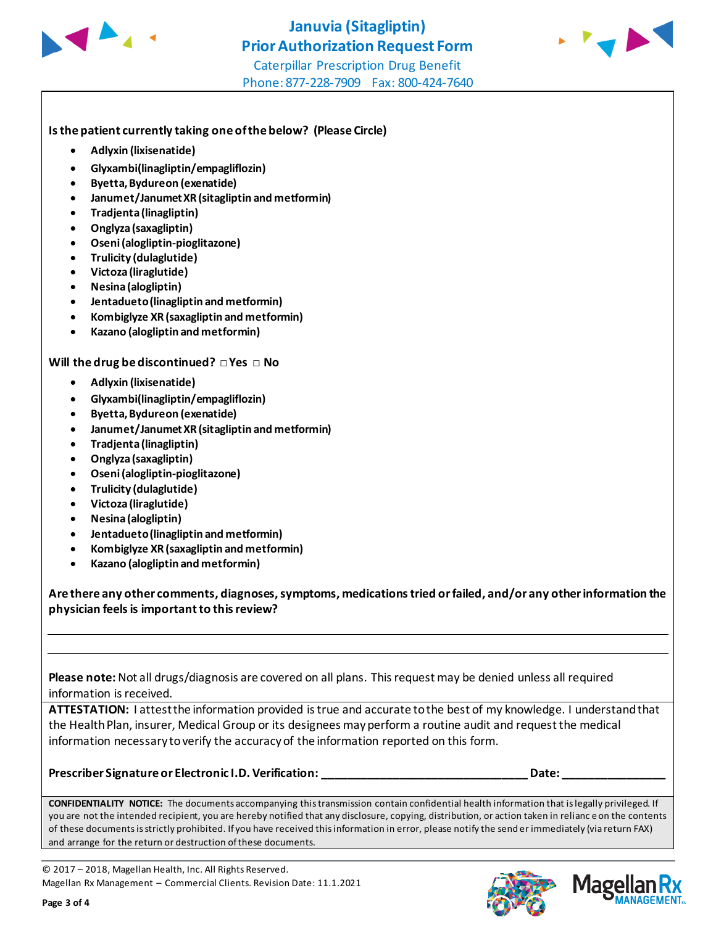



#### **Is the patient currently taking one of the below? (Please Circle)**

- **Adlyxin (lixisenatide)**
- **Glyxambi(linagliptin/empagliflozin)**
- **Byetta, Bydureon (exenatide)**
- **Janumet/Janumet XR (sitagliptin and metformin)**
- **Tradjenta (linagliptin)**
- **Onglyza (saxagliptin)**
- **Oseni (alogliptin-pioglitazone)**
- **Trulicity (dulaglutide)**
- **Victoza (liraglutide)**
- **Nesina (alogliptin)**
- **Jentadueto (linagliptin and metformin)**
- **Kombiglyze XR (saxagliptin and metformin)**
- **Kazano (alogliptin and metformin)**

#### **Will the drug be discontinued? □ Yes □ No**

- **Adlyxin (lixisenatide)**
- **Glyxambi(linagliptin/empagliflozin)**
- **Byetta, Bydureon (exenatide)**
- **Janumet/Janumet XR (sitagliptin and metformin)**
- **Tradjenta (linagliptin)**
- **Onglyza (saxagliptin)**
- **Oseni (alogliptin-pioglitazone)**
- **Trulicity (dulaglutide)**
- **Victoza (liraglutide)**
- **Nesina (alogliptin)**
- **Jentadueto (linagliptin and metformin)**
- **Kombiglyze XR (saxagliptin and metformin)**
- **Kazano (alogliptin and metformin)**

**Are there any other comments, diagnoses, symptoms, medications tried or failed, and/or any other information the physician feels is important to this review?**

**Please note:** Not all drugs/diagnosis are covered on all plans. This request may be denied unless all required information is received.

**ATTESTATION:** I attest the information provided is true and accurate to the best of my knowledge. I understand that the Health Plan, insurer, Medical Group or its designees may perform a routine audit and request the medical information necessary to verify the accuracy of the information reported on this form.

#### **Prescriber Signature or Electronic I.D. Verification: \_\_\_\_\_\_\_\_\_\_\_\_\_\_\_\_\_\_\_\_\_\_\_\_\_\_\_\_\_\_\_\_ Date: \_\_\_\_\_\_\_\_\_\_\_\_\_\_\_\_**

**CONFIDENTIALITY NOTICE:** The documents accompanying this transmission contain confidential health information that is legally privileged. If you are not the intended recipient, you are hereby notified that any disclosure, copying, distribution, or action taken in relianc e on the contents of these documents is strictly prohibited. If you have received this information in error, please notify the send er immediately (via return FAX) and arrange for the return or destruction of these documents.

© 2017 – 2018, Magellan Health, Inc. All Rights Reserved. Magellan Rx Management – Commercial Clients. Revision Date: 11.1.2021